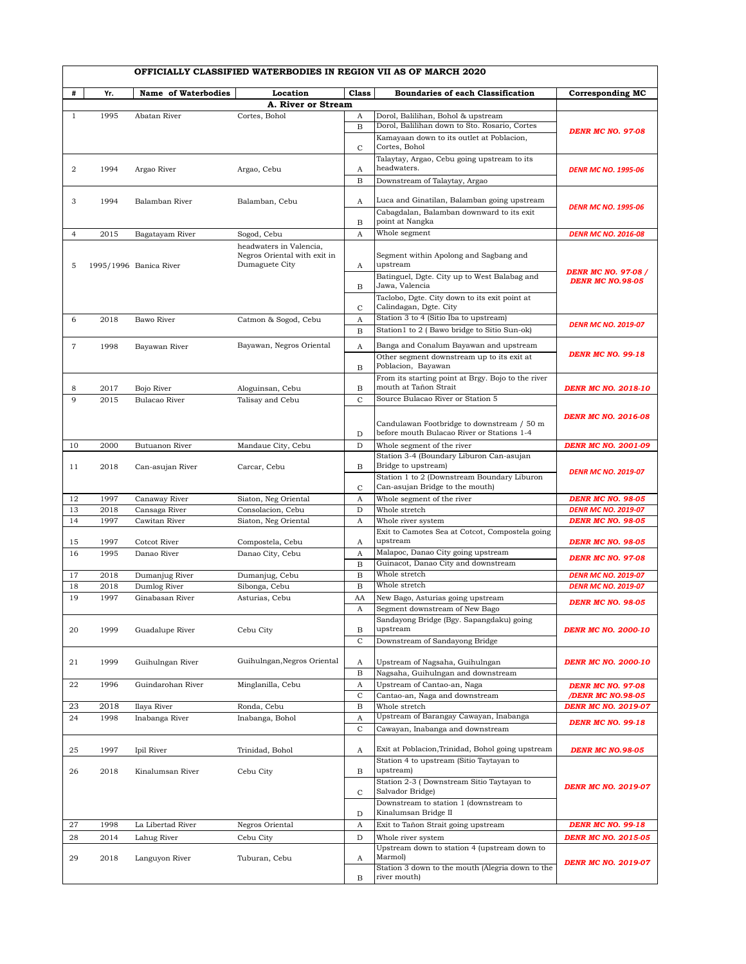|                |      |                        |                                                |                   | OFFICIALLY CLASSIFIED WATERBODIES IN REGION VII AS OF MARCH 2020                    |                            |
|----------------|------|------------------------|------------------------------------------------|-------------------|-------------------------------------------------------------------------------------|----------------------------|
| #              | Yr.  | Name of Waterbodies    | Location<br>A. River or Stream                 | <b>Class</b>      | Boundaries of each Classification                                                   | <b>Corresponding MC</b>    |
|                |      |                        |                                                |                   |                                                                                     |                            |
| $\mathbf{1}$   | 1995 | Abatan River           | Cortes, Bohol                                  | A                 | Dorol, Balilihan, Bohol & upstream<br>Dorol, Balilihan down to Sto. Rosario, Cortes |                            |
|                |      |                        |                                                | B                 |                                                                                     | <b>DENR MC NO. 97-08</b>   |
|                |      |                        |                                                | $\mathsf{C}$      | Kamayaan down to its outlet at Poblacion,<br>Cortes, Bohol                          |                            |
|                |      |                        |                                                |                   | Talaytay, Argao, Cebu going upstream to its                                         |                            |
| 2              | 1994 | Argao River            | Argao, Cebu                                    | Α                 | headwaters.                                                                         | <b>DENR MC NO. 1995-06</b> |
|                |      |                        |                                                | $\mathbf B$       | Downstream of Talaytay, Argao                                                       |                            |
|                |      |                        |                                                |                   |                                                                                     |                            |
| 3              | 1994 | Balamban River         | Balamban, Cebu                                 | A                 | Luca and Ginatilan, Balamban going upstream                                         |                            |
|                |      |                        |                                                |                   | Cabagdalan, Balamban downward to its exit                                           | <b>DENR MC NO. 1995-06</b> |
|                |      |                        |                                                | В                 | point at Nangka                                                                     |                            |
| 4              | 2015 | Bagatayam River        | Sogod, Cebu                                    | A                 | Whole segment                                                                       | <b>DENR MC NO. 2016-08</b> |
|                |      |                        | headwaters in Valencia,                        |                   |                                                                                     |                            |
|                |      |                        | Negros Oriental with exit in<br>Dumaguete City |                   | Segment within Apolong and Sagbang and<br>upstream                                  |                            |
| 5              |      | 1995/1996 Banica River |                                                | A                 | Batinguel, Dgte. City up to West Balabag and                                        | <b>DENR MC NO. 97-08 /</b> |
|                |      |                        |                                                | B                 | Jawa, Valencia                                                                      | <b>DENR MC NO.98-05</b>    |
|                |      |                        |                                                |                   | Taclobo, Dgte. City down to its exit point at                                       |                            |
|                |      |                        |                                                | $\mathsf{C}$      | Calindagan, Dgte. City                                                              |                            |
| 6              | 2018 | Bawo River             | Catmon & Sogod, Cebu                           | A                 | Station 3 to 4 (Sitio Iba to upstream)                                              |                            |
|                |      |                        |                                                | B                 | Station1 to 2 (Bawo bridge to Sitio Sun-ok)                                         | <b>DENR MC NO. 2019-07</b> |
| $\overline{7}$ | 1998 | Bayawan River          | Bayawan, Negros Oriental                       | A                 | Banga and Conalum Bayawan and upstream                                              |                            |
|                |      |                        |                                                |                   | Other segment downstream up to its exit at                                          | <b>DENR MC NO. 99-18</b>   |
|                |      |                        |                                                | B                 | Poblacion, Bayawan                                                                  |                            |
|                |      |                        |                                                |                   | From its starting point at Brgy. Bojo to the river                                  |                            |
| 8              | 2017 | Bojo River             | Aloguinsan, Cebu                               | B                 | mouth at Tañon Strait                                                               | <b>DENR MC NO. 2018-10</b> |
| $\mathbf{Q}$   | 2015 | Bulacao River          | Talisay and Cebu                               | $\mathsf{C}$      | Source Bulacao River or Station 5                                                   |                            |
|                |      |                        |                                                |                   |                                                                                     | <b>DENR MC NO. 2016-08</b> |
|                |      |                        |                                                |                   | Candulawan Footbridge to downstream / 50 m                                          |                            |
|                |      |                        |                                                | D                 | before mouth Bulacao River or Stations 1-4                                          |                            |
| 10             | 2000 | Butuanon River         | Mandaue City, Cebu                             | D                 | Whole segment of the river                                                          | <b>DENR MC NO. 2001-09</b> |
|                |      |                        |                                                |                   | Station 3-4 (Boundary Liburon Can-asujan                                            |                            |
| 11             | 2018 | Can-asujan River       | Carcar, Cebu                                   | B                 | Bridge to upstream)                                                                 | <b>DENR MC NO. 2019-07</b> |
|                |      |                        |                                                | $\mathbf C$       | Station 1 to 2 (Downstream Boundary Liburon<br>Can-asujan Bridge to the mouth)      |                            |
| 12             | 1997 | Canaway River          | Siaton, Neg Oriental                           | A                 | Whole segment of the river                                                          | <b>DENR MC NO. 98-05</b>   |
| 13             | 2018 | Cansaga River          | Consolacion, Cebu                              | D                 | Whole stretch                                                                       | <b>DENR MC NO. 2019-07</b> |
| 14             | 1997 | Cawitan River          | Siaton, Neg Oriental                           | A                 | Whole river system                                                                  | <b>DENR MC NO. 98-05</b>   |
|                |      |                        |                                                |                   | Exit to Camotes Sea at Cotcot, Compostela going                                     |                            |
| 15             | 1997 | Cotcot River           | Compostela, Cebu                               | A                 | upstream                                                                            | <b>DENR MC NO. 98-05</b>   |
| 16             | 1995 | Danao River            | Danao City, Cebu                               | A                 | Malapoc, Danao City going upstream                                                  |                            |
|                |      |                        |                                                | B                 | Guinacot, Danao City and downstream                                                 | <b>DENR MC NO. 97-08</b>   |
| 17             | 2018 | Dumanjug River         | Dumanjug, Cebu                                 | B                 | Whole stretch                                                                       | <b>DENR MC NO. 2019-07</b> |
| 18             | 2018 | Dumlog River           | Sibonga, Cebu                                  | B                 | Whole stretch                                                                       | <b>DENR MC NO. 2019-07</b> |
| 19             | 1997 | Ginabasan River        | Asturias, Cebu                                 | AA                | New Bago, Asturias going upstream                                                   | <b>DENR MC NO. 98-05</b>   |
|                |      |                        |                                                | A                 | Segment downstream of New Bago                                                      |                            |
|                |      |                        |                                                |                   | Sandayong Bridge (Bgy. Sapangdaku) going                                            |                            |
| 20             | 1999 | Guadalupe River        | Cebu City                                      | В<br>$\mathsf{C}$ | upstream<br>Downstream of Sandayong Bridge                                          | <b>DENR MC NO. 2000-10</b> |
|                |      |                        |                                                |                   |                                                                                     |                            |
| 21             | 1999 | Guihulngan River       | Guihulngan, Negros Oriental                    | A                 | Upstream of Nagsaha, Guihulngan                                                     | <b>DENR MC NO. 2000-10</b> |
|                |      |                        |                                                | $\mathbf B$       | Nagsaha, Guihulngan and downstream                                                  |                            |
| 22             | 1996 | Guindarohan River      | Minglanilla, Cebu                              | A                 | Upstream of Cantao-an, Naga                                                         | <b>DENR MC NO. 97-08</b>   |
|                |      |                        |                                                | $\mathbf C$       | Cantao-an, Naga and downstream                                                      | /DENR MC NO.98-05          |
| 23             | 2018 | Ilaya River            | Ronda, Cebu                                    | B                 | Whole stretch                                                                       | <b>DENR MC NO. 2019-07</b> |
| 24             | 1998 | Inabanga River         | Inabanga, Bohol                                | A                 | Upstream of Barangay Cawayan, Inabanga                                              | <b>DENR MC NO. 99-18</b>   |
|                |      |                        |                                                | $\mathbf C$       | Cawayan, Inabanga and downstream                                                    |                            |
|                |      |                        |                                                |                   |                                                                                     |                            |
| 25             | 1997 | Ipil River             | Trinidad, Bohol                                | A                 | Exit at Poblacion, Trinidad, Bohol going upstream                                   | <b>DENR MC NO.98-05</b>    |
|                |      |                        |                                                |                   | Station 4 to upstream (Sitio Taytayan to<br>upstream)                               |                            |
| 26             | 2018 | Kinalumsan River       | Cebu City                                      | В                 |                                                                                     |                            |
|                |      |                        |                                                | $\mathbf C$       | Station 2-3 (Downstream Sitio Taytayan to<br>Salvador Bridge)                       | <b>DENR MC NO. 2019-07</b> |
|                |      |                        |                                                |                   | Downstream to station 1 (downstream to                                              |                            |
|                |      |                        |                                                | D                 | Kinalumsan Bridge II                                                                |                            |
| 27             | 1998 | La Libertad River      | Negros Oriental                                | А                 | Exit to Tañon Strait going upstream                                                 | <b>DENR MC NO. 99-18</b>   |
| 28             | 2014 | Lahug River            | Cebu City                                      | D                 | Whole river system                                                                  | <b>DENR MC NO. 2015-05</b> |
|                |      |                        |                                                |                   | Upstream down to station 4 (upstream down to                                        |                            |
| 29             | 2018 | Languyon River         | Tuburan, Cebu                                  | A                 | Marmol)                                                                             | <b>DENR MC NO. 2019-07</b> |
|                |      |                        |                                                |                   | Station 3 down to the mouth (Alegria down to the                                    |                            |
|                |      |                        |                                                | В                 | river mouth)                                                                        |                            |